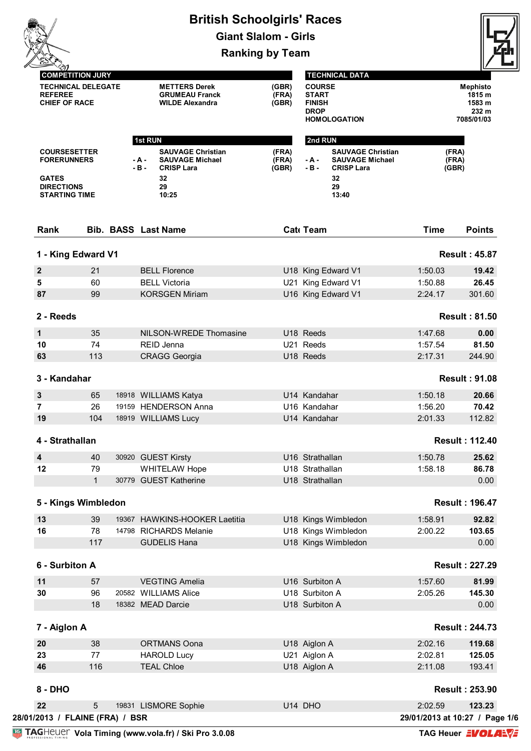|                                                                                                        |              |                            |                                                                         |                                                                                              | <b>British Schoolgirls' Races</b><br><b>Giant Slalom - Girls</b> |                                                                                                                 |                     |                         |                                                     |  |
|--------------------------------------------------------------------------------------------------------|--------------|----------------------------|-------------------------------------------------------------------------|----------------------------------------------------------------------------------------------|------------------------------------------------------------------|-----------------------------------------------------------------------------------------------------------------|---------------------|-------------------------|-----------------------------------------------------|--|
|                                                                                                        |              |                            |                                                                         |                                                                                              |                                                                  |                                                                                                                 |                     |                         |                                                     |  |
|                                                                                                        |              |                            |                                                                         |                                                                                              | <b>Ranking by Team</b>                                           |                                                                                                                 |                     |                         |                                                     |  |
| <b>COMPETITION JURY</b><br><b>TECHNICAL DELEGATE</b><br><b>REFEREE</b><br><b>CHIEF OF RACE</b>         |              |                            | <b>METTERS Derek</b><br><b>GRUMEAU Franck</b><br><b>WILDE Alexandra</b> |                                                                                              | (GBR)<br>(FRA)<br>(GBR)                                          | <b>TECHNICAL DATA</b><br><b>COURSE</b><br><b>START</b><br><b>FINISH</b><br><b>DROP</b><br><b>HOMOLOGATION</b>   |                     |                         | Mephisto<br>1815 m<br>1583 m<br>232 m<br>7085/01/03 |  |
|                                                                                                        |              |                            | 1st RUN                                                                 |                                                                                              |                                                                  | 2nd RUN                                                                                                         |                     |                         |                                                     |  |
| <b>COURSESETTER</b><br><b>FORERUNNERS</b><br><b>GATES</b><br><b>DIRECTIONS</b><br><b>STARTING TIME</b> |              |                            | - A -<br>$-B -$                                                         | <b>SAUVAGE Christian</b><br><b>SAUVAGE Michael</b><br><b>CRISP Lara</b><br>32<br>29<br>10:25 | (FRA)<br>(FRA)<br>(GBR)                                          | <b>SAUVAGE Christian</b><br>- A -<br><b>SAUVAGE Michael</b><br>$-B -$<br><b>CRISP Lara</b><br>32<br>29<br>13:40 |                     | (FRA)<br>(FRA)<br>(GBR) |                                                     |  |
|                                                                                                        |              | <b>Bib. BASS Last Name</b> |                                                                         |                                                                                              |                                                                  | Cat Team                                                                                                        |                     | <b>Time</b>             | <b>Points</b>                                       |  |
| Rank                                                                                                   |              |                            |                                                                         |                                                                                              |                                                                  |                                                                                                                 |                     |                         |                                                     |  |
| 1 - King Edward V1                                                                                     |              |                            |                                                                         |                                                                                              |                                                                  |                                                                                                                 |                     |                         | <b>Result: 45.87</b>                                |  |
| $\mathbf{2}$                                                                                           | 21           |                            |                                                                         | <b>BELL Florence</b>                                                                         |                                                                  |                                                                                                                 | U18 King Edward V1  | 1:50.03                 | 19.42                                               |  |
| 5                                                                                                      | 60           |                            |                                                                         | <b>BELL Victoria</b>                                                                         |                                                                  |                                                                                                                 | U21 King Edward V1  | 1:50.88                 | 26.45                                               |  |
| 87                                                                                                     | 99           |                            |                                                                         | <b>KORSGEN Miriam</b>                                                                        |                                                                  |                                                                                                                 | U16 King Edward V1  | 2:24.17                 | 301.60                                              |  |
| 2 - Reeds                                                                                              |              |                            |                                                                         |                                                                                              |                                                                  |                                                                                                                 |                     |                         | <b>Result: 81.50</b>                                |  |
| 1                                                                                                      | 35           |                            |                                                                         | NILSON-WREDE Thomasine                                                                       |                                                                  | U18 Reeds                                                                                                       |                     | 1:47.68                 | 0.00                                                |  |
| 10                                                                                                     | 74           |                            |                                                                         | REID Jenna                                                                                   |                                                                  | U21 Reeds                                                                                                       |                     | 1:57.54                 | 81.50                                               |  |
| 63                                                                                                     | 113          |                            |                                                                         | <b>CRAGG Georgia</b>                                                                         |                                                                  | U18 Reeds                                                                                                       |                     | 2:17.31                 | 244.90                                              |  |
| 3 - Kandahar                                                                                           |              |                            |                                                                         |                                                                                              |                                                                  |                                                                                                                 |                     |                         | <b>Result: 91.08</b>                                |  |
| 3                                                                                                      | 65           |                            |                                                                         | 18918 WILLIAMS Katya                                                                         |                                                                  | U14 Kandahar                                                                                                    |                     | 1:50.18                 | 20.66                                               |  |
| $\overline{7}$                                                                                         | 26           |                            |                                                                         | 19159 HENDERSON Anna                                                                         |                                                                  | U16 Kandahar                                                                                                    |                     | 1:56.20                 | 70.42                                               |  |
| 19                                                                                                     | 104          |                            |                                                                         | 18919 WILLIAMS Lucy                                                                          |                                                                  | U14 Kandahar                                                                                                    |                     | 2:01.33                 | 112.82                                              |  |
| 4 - Strathallan                                                                                        |              |                            |                                                                         |                                                                                              |                                                                  |                                                                                                                 |                     |                         | <b>Result: 112.40</b>                               |  |
| 4                                                                                                      | 40           |                            |                                                                         | 30920 GUEST Kirsty                                                                           |                                                                  | U16 Strathallan                                                                                                 |                     | 1:50.78                 | 25.62                                               |  |
| 12                                                                                                     | 79           |                            |                                                                         | WHITELAW Hope                                                                                |                                                                  | U18 Strathallan                                                                                                 |                     | 1:58.18                 | 86.78                                               |  |
|                                                                                                        | $\mathbf{1}$ |                            |                                                                         | 30779 GUEST Katherine                                                                        |                                                                  | U18 Strathallan                                                                                                 |                     |                         | 0.00                                                |  |
| 5 - Kings Wimbledon                                                                                    |              |                            |                                                                         |                                                                                              |                                                                  |                                                                                                                 |                     |                         | <b>Result: 196.47</b>                               |  |
| 13                                                                                                     | 39           |                            |                                                                         | 19367 HAWKINS-HOOKER Laetitia                                                                |                                                                  |                                                                                                                 | U18 Kings Wimbledon | 1:58.91                 | 92.82                                               |  |
| 16                                                                                                     | 78           |                            |                                                                         | 14798 RICHARDS Melanie                                                                       |                                                                  |                                                                                                                 | U18 Kings Wimbledon | 2:00.22                 | 103.65                                              |  |
|                                                                                                        | 117          |                            |                                                                         | <b>GUDELIS Hana</b>                                                                          |                                                                  |                                                                                                                 | U18 Kings Wimbledon |                         | 0.00                                                |  |
| 6 - Surbiton A                                                                                         |              |                            |                                                                         |                                                                                              |                                                                  |                                                                                                                 |                     |                         | <b>Result: 227.29</b>                               |  |
| 11                                                                                                     | 57           |                            |                                                                         | <b>VEGTING Amelia</b>                                                                        |                                                                  | U16 Surbiton A                                                                                                  |                     | 1:57.60                 | 81.99                                               |  |
| 30                                                                                                     | 96           |                            |                                                                         | 20582 WILLIAMS Alice                                                                         |                                                                  | U18 Surbiton A                                                                                                  |                     | 2:05.26                 | 145.30                                              |  |
|                                                                                                        | 18           |                            |                                                                         | 18382 MEAD Darcie                                                                            |                                                                  | U18 Surbiton A                                                                                                  |                     |                         | 0.00                                                |  |
| 7 - Aiglon A                                                                                           |              |                            |                                                                         |                                                                                              |                                                                  |                                                                                                                 |                     |                         | <b>Result: 244.73</b>                               |  |
| 20                                                                                                     | 38           |                            |                                                                         | <b>ORTMANS Oona</b>                                                                          |                                                                  | U18 Aiglon A                                                                                                    |                     | 2:02.16                 | 119.68                                              |  |
| 23                                                                                                     | 77           |                            |                                                                         | <b>HAROLD Lucy</b>                                                                           |                                                                  | U21 Aiglon A                                                                                                    |                     | 2:02.81                 | 125.05                                              |  |
| 46                                                                                                     | 116          |                            |                                                                         | <b>TEAL Chloe</b>                                                                            |                                                                  | U18 Aiglon A                                                                                                    |                     | 2:11.08                 | 193.41                                              |  |
|                                                                                                        |              |                            |                                                                         |                                                                                              |                                                                  |                                                                                                                 |                     |                         | <b>Result: 253.90</b>                               |  |
| $8 - DHO$                                                                                              |              |                            |                                                                         |                                                                                              |                                                                  |                                                                                                                 |                     |                         |                                                     |  |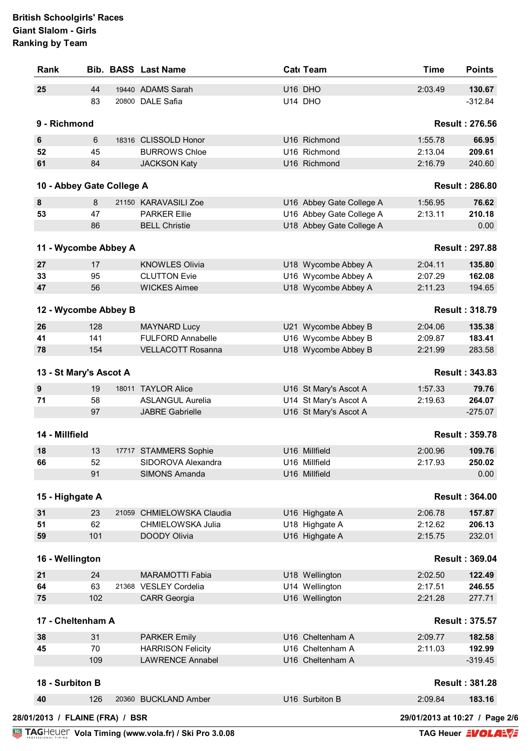| 25<br>9 - Richmond<br>6<br>52<br>61 | 44<br>83<br>6<br>45 | 19440 ADAMS Sarah<br>20800 DALE Safia        | U16 DHO<br>U14 DHO                         | 2:03.49                        | 130.67                |
|-------------------------------------|---------------------|----------------------------------------------|--------------------------------------------|--------------------------------|-----------------------|
|                                     |                     |                                              |                                            |                                |                       |
|                                     |                     |                                              |                                            |                                | $-312.84$             |
|                                     |                     |                                              |                                            |                                | <b>Result: 276.56</b> |
|                                     |                     | 18316 CLISSOLD Honor                         | U16 Richmond                               | 1:55.78                        | 66.95                 |
|                                     |                     | <b>BURROWS Chloe</b>                         | U16 Richmond                               | 2:13.04                        | 209.61                |
|                                     | 84                  | <b>JACKSON Katy</b>                          | U16 Richmond                               | 2:16.79                        | 240.60                |
| 10 - Abbey Gate College A           |                     |                                              |                                            |                                | <b>Result: 286.80</b> |
| $\pmb{8}$                           | 8                   | 21150 KARAVASILI Zoe                         | U16 Abbey Gate College A                   | 1:56.95                        | 76.62                 |
| 53                                  | 47                  | <b>PARKER Ellie</b>                          | U16 Abbey Gate College A                   | 2:13.11                        | 210.18                |
|                                     | 86                  | <b>BELL Christie</b>                         | U18 Abbey Gate College A                   |                                | 0.00                  |
| 11 - Wycombe Abbey A                |                     |                                              |                                            |                                | <b>Result: 297.88</b> |
|                                     | 17                  |                                              |                                            | 2:04.11                        | 135.80                |
| 27<br>33                            | 95                  | <b>KNOWLES Olivia</b><br><b>CLUTTON Evie</b> | U18 Wycombe Abbey A<br>U16 Wycombe Abbey A | 2:07.29                        | 162.08                |
| 47                                  | 56                  | <b>WICKES Aimee</b>                          | U18 Wycombe Abbey A                        | 2:11.23                        | 194.65                |
|                                     |                     |                                              |                                            |                                |                       |
| 12 - Wycombe Abbey B                |                     |                                              |                                            |                                | <b>Result: 318.79</b> |
| 26                                  | 128                 | <b>MAYNARD Lucy</b>                          | U21 Wycombe Abbey B                        | 2:04.06                        | 135.38                |
| 41                                  | 141                 | <b>FULFORD Annabelle</b>                     | U16 Wycombe Abbey B                        | 2:09.87                        | 183.41                |
| 78                                  | 154                 | <b>VELLACOTT Rosanna</b>                     | U18 Wycombe Abbey B                        | 2:21.99                        | 283.58                |
| 13 - St Mary's Ascot A              |                     |                                              |                                            |                                | <b>Result: 343.83</b> |
| $\boldsymbol{9}$                    | 19                  | 18011 TAYLOR Alice                           | U16 St Mary's Ascot A                      | 1:57.33                        | 79.76                 |
| 71                                  | 58                  | <b>ASLANGUL Aurelia</b>                      | U14 St Mary's Ascot A                      | 2:19.63                        | 264.07                |
|                                     | 97                  | <b>JABRE Gabrielle</b>                       | U16 St Mary's Ascot A                      |                                | $-275.07$             |
| 14 - Millfield                      |                     |                                              |                                            |                                | <b>Result: 359.78</b> |
| 18                                  | 13                  | 17717 STAMMERS Sophie                        | U16 Millfield                              | 2:00.96                        | 109.76                |
| 66                                  | 52                  | SIDOROVA Alexandra                           | U16 Millfield                              | 2:17.93                        | 250.02                |
|                                     | 91                  | <b>SIMONS Amanda</b>                         | U16 Millfield                              |                                | 0.00                  |
| 15 - Highgate A                     |                     |                                              |                                            |                                | <b>Result: 364.00</b> |
| 31                                  | 23                  | 21059 CHMIELOWSKA Claudia                    | U16 Highgate A                             | 2:06.78                        | 157.87                |
| 51                                  | 62                  | CHMIELOWSKA Julia                            | U18 Highgate A                             | 2:12.62                        | 206.13                |
| 59                                  | 101                 | DOODY Olivia                                 | U16 Highgate A                             | 2:15.75                        | 232.01                |
|                                     |                     |                                              |                                            |                                |                       |
| 16 - Wellington                     |                     |                                              |                                            |                                | <b>Result: 369.04</b> |
| 21                                  | 24                  | <b>MARAMOTTI Fabia</b>                       | U18 Wellington                             | 2:02.50                        | 122.49                |
| 64                                  | 63                  | 21368 VESLEY Cordelia                        | U14 Wellington                             | 2:17.51                        | 246.55                |
| 75                                  | 102                 | <b>CARR Georgia</b>                          | U16 Wellington                             | 2:21.28                        | 277.71                |
| 17 - Cheltenham A                   |                     |                                              |                                            |                                | <b>Result: 375.57</b> |
| 38                                  | 31                  | <b>PARKER Emily</b>                          | U16 Cheltenham A                           | 2:09.77                        | 182.58                |
| 45                                  | 70                  | <b>HARRISON Felicity</b>                     | U16 Cheltenham A                           | 2:11.03                        | 192.99                |
|                                     | 109                 | <b>LAWRENCE Annabel</b>                      | U16 Cheltenham A                           |                                | $-319.45$             |
| 18 - Surbiton B                     |                     |                                              |                                            |                                | <b>Result: 381.28</b> |
| 40                                  | 126                 | 20360 BUCKLAND Amber                         | U16 Surbiton B                             | 2:09.84                        | 183.16                |
| 28/01/2013 / FLAINE (FRA) / BSR     |                     |                                              |                                            | 29/01/2013 at 10:27 / Page 2/6 |                       |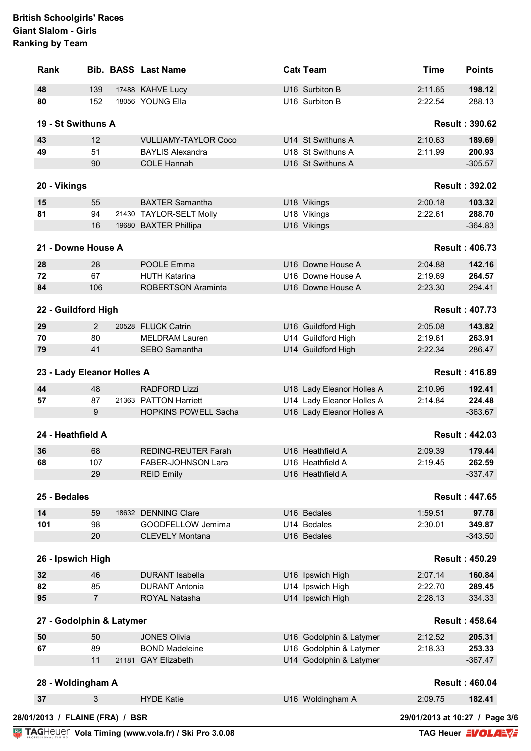| 139<br>152<br>19 - St Swithuns A<br>12<br>51<br>90<br>55<br>94 |                                                                                      | 17488 KAHVE Lucy<br>18056 YOUNG Ella<br><b>VULLIAMY-TAYLOR Coco</b><br><b>BAYLIS Alexandra</b><br><b>COLE Hannah</b> |                                                                                                                                                                                                                                                                                                                                                                                                                                         | U16 Surbiton B<br>U16 Surbiton B<br>U14 St Swithuns A | 2:11.65<br>2:22.54                                                                                                                                                                                                                                                                                                                                                                                                                                    | 198.12<br>288.13<br><b>Result: 390.62</b>                                                       |
|----------------------------------------------------------------|--------------------------------------------------------------------------------------|----------------------------------------------------------------------------------------------------------------------|-----------------------------------------------------------------------------------------------------------------------------------------------------------------------------------------------------------------------------------------------------------------------------------------------------------------------------------------------------------------------------------------------------------------------------------------|-------------------------------------------------------|-------------------------------------------------------------------------------------------------------------------------------------------------------------------------------------------------------------------------------------------------------------------------------------------------------------------------------------------------------------------------------------------------------------------------------------------------------|-------------------------------------------------------------------------------------------------|
|                                                                |                                                                                      |                                                                                                                      |                                                                                                                                                                                                                                                                                                                                                                                                                                         |                                                       |                                                                                                                                                                                                                                                                                                                                                                                                                                                       |                                                                                                 |
|                                                                |                                                                                      |                                                                                                                      |                                                                                                                                                                                                                                                                                                                                                                                                                                         |                                                       |                                                                                                                                                                                                                                                                                                                                                                                                                                                       |                                                                                                 |
|                                                                |                                                                                      |                                                                                                                      |                                                                                                                                                                                                                                                                                                                                                                                                                                         |                                                       |                                                                                                                                                                                                                                                                                                                                                                                                                                                       |                                                                                                 |
|                                                                |                                                                                      |                                                                                                                      |                                                                                                                                                                                                                                                                                                                                                                                                                                         |                                                       | 2:10.63                                                                                                                                                                                                                                                                                                                                                                                                                                               | 189.69                                                                                          |
|                                                                |                                                                                      |                                                                                                                      |                                                                                                                                                                                                                                                                                                                                                                                                                                         | U18 St Swithuns A                                     | 2:11.99                                                                                                                                                                                                                                                                                                                                                                                                                                               | 200.93                                                                                          |
|                                                                |                                                                                      |                                                                                                                      |                                                                                                                                                                                                                                                                                                                                                                                                                                         | U16 St Swithuns A                                     |                                                                                                                                                                                                                                                                                                                                                                                                                                                       | $-305.57$                                                                                       |
|                                                                |                                                                                      |                                                                                                                      |                                                                                                                                                                                                                                                                                                                                                                                                                                         |                                                       |                                                                                                                                                                                                                                                                                                                                                                                                                                                       | <b>Result: 392.02</b>                                                                           |
|                                                                |                                                                                      | <b>BAXTER Samantha</b>                                                                                               |                                                                                                                                                                                                                                                                                                                                                                                                                                         | U18 Vikings                                           | 2:00.18                                                                                                                                                                                                                                                                                                                                                                                                                                               | 103.32                                                                                          |
|                                                                |                                                                                      | 21430 TAYLOR-SELT Molly                                                                                              |                                                                                                                                                                                                                                                                                                                                                                                                                                         | U18 Vikings                                           | 2:22.61                                                                                                                                                                                                                                                                                                                                                                                                                                               | 288.70                                                                                          |
| 16                                                             |                                                                                      | 19680 BAXTER Phillipa                                                                                                |                                                                                                                                                                                                                                                                                                                                                                                                                                         | U16 Vikings                                           |                                                                                                                                                                                                                                                                                                                                                                                                                                                       | $-364.83$                                                                                       |
| 21 - Downe House A                                             |                                                                                      |                                                                                                                      |                                                                                                                                                                                                                                                                                                                                                                                                                                         |                                                       |                                                                                                                                                                                                                                                                                                                                                                                                                                                       | <b>Result: 406.73</b>                                                                           |
|                                                                |                                                                                      |                                                                                                                      |                                                                                                                                                                                                                                                                                                                                                                                                                                         |                                                       |                                                                                                                                                                                                                                                                                                                                                                                                                                                       |                                                                                                 |
| 28                                                             |                                                                                      | <b>POOLE Emma</b>                                                                                                    |                                                                                                                                                                                                                                                                                                                                                                                                                                         | U16 Downe House A                                     | 2:04.88                                                                                                                                                                                                                                                                                                                                                                                                                                               | 142.16                                                                                          |
|                                                                |                                                                                      |                                                                                                                      |                                                                                                                                                                                                                                                                                                                                                                                                                                         |                                                       |                                                                                                                                                                                                                                                                                                                                                                                                                                                       | 264.57                                                                                          |
|                                                                |                                                                                      |                                                                                                                      |                                                                                                                                                                                                                                                                                                                                                                                                                                         |                                                       |                                                                                                                                                                                                                                                                                                                                                                                                                                                       | 294.41                                                                                          |
|                                                                |                                                                                      |                                                                                                                      |                                                                                                                                                                                                                                                                                                                                                                                                                                         |                                                       |                                                                                                                                                                                                                                                                                                                                                                                                                                                       | <b>Result: 407.73</b>                                                                           |
| 2                                                              |                                                                                      |                                                                                                                      |                                                                                                                                                                                                                                                                                                                                                                                                                                         |                                                       | 2:05.08                                                                                                                                                                                                                                                                                                                                                                                                                                               | 143.82                                                                                          |
| 80                                                             |                                                                                      | <b>MELDRAM Lauren</b>                                                                                                |                                                                                                                                                                                                                                                                                                                                                                                                                                         |                                                       | 2:19.61                                                                                                                                                                                                                                                                                                                                                                                                                                               | 263.91                                                                                          |
| 41                                                             |                                                                                      | SEBO Samantha                                                                                                        |                                                                                                                                                                                                                                                                                                                                                                                                                                         |                                                       | 2:22.34                                                                                                                                                                                                                                                                                                                                                                                                                                               | 286.47                                                                                          |
|                                                                |                                                                                      |                                                                                                                      |                                                                                                                                                                                                                                                                                                                                                                                                                                         |                                                       |                                                                                                                                                                                                                                                                                                                                                                                                                                                       | <b>Result: 416.89</b>                                                                           |
|                                                                |                                                                                      |                                                                                                                      |                                                                                                                                                                                                                                                                                                                                                                                                                                         |                                                       |                                                                                                                                                                                                                                                                                                                                                                                                                                                       |                                                                                                 |
|                                                                |                                                                                      |                                                                                                                      |                                                                                                                                                                                                                                                                                                                                                                                                                                         |                                                       |                                                                                                                                                                                                                                                                                                                                                                                                                                                       | 192.41                                                                                          |
|                                                                |                                                                                      |                                                                                                                      |                                                                                                                                                                                                                                                                                                                                                                                                                                         |                                                       |                                                                                                                                                                                                                                                                                                                                                                                                                                                       | 224.48<br>$-363.67$                                                                             |
|                                                                |                                                                                      |                                                                                                                      |                                                                                                                                                                                                                                                                                                                                                                                                                                         |                                                       |                                                                                                                                                                                                                                                                                                                                                                                                                                                       |                                                                                                 |
|                                                                |                                                                                      |                                                                                                                      |                                                                                                                                                                                                                                                                                                                                                                                                                                         |                                                       |                                                                                                                                                                                                                                                                                                                                                                                                                                                       | <b>Result: 442.03</b>                                                                           |
|                                                                |                                                                                      |                                                                                                                      |                                                                                                                                                                                                                                                                                                                                                                                                                                         |                                                       |                                                                                                                                                                                                                                                                                                                                                                                                                                                       | 179.44                                                                                          |
|                                                                |                                                                                      |                                                                                                                      |                                                                                                                                                                                                                                                                                                                                                                                                                                         |                                                       |                                                                                                                                                                                                                                                                                                                                                                                                                                                       | 262.59                                                                                          |
|                                                                |                                                                                      |                                                                                                                      |                                                                                                                                                                                                                                                                                                                                                                                                                                         |                                                       |                                                                                                                                                                                                                                                                                                                                                                                                                                                       | $-337.47$                                                                                       |
| 25 - Bedales                                                   |                                                                                      |                                                                                                                      |                                                                                                                                                                                                                                                                                                                                                                                                                                         |                                                       |                                                                                                                                                                                                                                                                                                                                                                                                                                                       | <b>Result: 447.65</b>                                                                           |
| 59                                                             |                                                                                      |                                                                                                                      |                                                                                                                                                                                                                                                                                                                                                                                                                                         |                                                       | 1:59.51                                                                                                                                                                                                                                                                                                                                                                                                                                               | 97.78                                                                                           |
|                                                                |                                                                                      |                                                                                                                      |                                                                                                                                                                                                                                                                                                                                                                                                                                         |                                                       |                                                                                                                                                                                                                                                                                                                                                                                                                                                       | 349.87                                                                                          |
| 20                                                             |                                                                                      |                                                                                                                      |                                                                                                                                                                                                                                                                                                                                                                                                                                         |                                                       |                                                                                                                                                                                                                                                                                                                                                                                                                                                       | $-343.50$                                                                                       |
| 26 - Ipswich High                                              |                                                                                      |                                                                                                                      |                                                                                                                                                                                                                                                                                                                                                                                                                                         |                                                       |                                                                                                                                                                                                                                                                                                                                                                                                                                                       | <b>Result: 450.29</b>                                                                           |
| 46                                                             |                                                                                      | <b>DURANT Isabella</b>                                                                                               |                                                                                                                                                                                                                                                                                                                                                                                                                                         |                                                       | 2:07.14                                                                                                                                                                                                                                                                                                                                                                                                                                               | 160.84                                                                                          |
| 85                                                             |                                                                                      | <b>DURANT Antonia</b>                                                                                                |                                                                                                                                                                                                                                                                                                                                                                                                                                         |                                                       | 2:22.70                                                                                                                                                                                                                                                                                                                                                                                                                                               | 289.45                                                                                          |
| $\overline{7}$                                                 |                                                                                      | ROYAL Natasha                                                                                                        |                                                                                                                                                                                                                                                                                                                                                                                                                                         |                                                       | 2:28.13                                                                                                                                                                                                                                                                                                                                                                                                                                               | 334.33                                                                                          |
|                                                                |                                                                                      |                                                                                                                      |                                                                                                                                                                                                                                                                                                                                                                                                                                         |                                                       |                                                                                                                                                                                                                                                                                                                                                                                                                                                       | <b>Result: 458.64</b>                                                                           |
|                                                                |                                                                                      |                                                                                                                      |                                                                                                                                                                                                                                                                                                                                                                                                                                         |                                                       |                                                                                                                                                                                                                                                                                                                                                                                                                                                       | 205.31                                                                                          |
|                                                                |                                                                                      |                                                                                                                      |                                                                                                                                                                                                                                                                                                                                                                                                                                         |                                                       |                                                                                                                                                                                                                                                                                                                                                                                                                                                       | 253.33                                                                                          |
| 11                                                             |                                                                                      |                                                                                                                      |                                                                                                                                                                                                                                                                                                                                                                                                                                         |                                                       |                                                                                                                                                                                                                                                                                                                                                                                                                                                       | $-367.47$                                                                                       |
|                                                                |                                                                                      |                                                                                                                      |                                                                                                                                                                                                                                                                                                                                                                                                                                         |                                                       |                                                                                                                                                                                                                                                                                                                                                                                                                                                       | <b>Result: 460.04</b>                                                                           |
| 3                                                              |                                                                                      | <b>HYDE Katie</b>                                                                                                    |                                                                                                                                                                                                                                                                                                                                                                                                                                         | U16 Woldingham A                                      | 2:09.75                                                                                                                                                                                                                                                                                                                                                                                                                                               | 182.41                                                                                          |
|                                                                |                                                                                      |                                                                                                                      |                                                                                                                                                                                                                                                                                                                                                                                                                                         |                                                       |                                                                                                                                                                                                                                                                                                                                                                                                                                                       |                                                                                                 |
|                                                                | 67<br>106<br>48<br>87<br>9<br>24 - Heathfield A<br>68<br>107<br>29<br>98<br>50<br>89 | 22 - Guildford High<br>28 - Woldingham A                                                                             | <b>HUTH Katarina</b><br><b>ROBERTSON Araminta</b><br>20528 FLUCK Catrin<br>23 - Lady Eleanor Holles A<br><b>RADFORD Lizzi</b><br>21363 PATTON Harriett<br><b>HOPKINS POWELL Sacha</b><br>REDING-REUTER Farah<br><b>FABER-JOHNSON Lara</b><br><b>REID Emily</b><br>18632 DENNING Clare<br>GOODFELLOW Jemima<br><b>CLEVELY Montana</b><br>27 - Godolphin & Latymer<br><b>JONES Olivia</b><br><b>BOND Madeleine</b><br>21181 GAY Elizabeth |                                                       | U16 Downe House A<br>U16 Downe House A<br>U16 Guildford High<br>U14 Guildford High<br>U14 Guildford High<br>U18 Lady Eleanor Holles A<br>U14 Lady Eleanor Holles A<br>U16 Lady Eleanor Holles A<br>U16 Heathfield A<br>U16 Heathfield A<br>U16 Heathfield A<br>U16 Bedales<br>U14 Bedales<br>U16 Bedales<br>U16 Ipswich High<br>U14 Ipswich High<br>U14 Ipswich High<br>U16 Godolphin & Latymer<br>U16 Godolphin & Latymer<br>U14 Godolphin & Latymer | 2:19.69<br>2:23.30<br>2:10.96<br>2:14.84<br>2:09.39<br>2:19.45<br>2:30.01<br>2:12.52<br>2:18.33 |

**Vola Timing (www.vola.fr) / Ski Pro 3.0.08**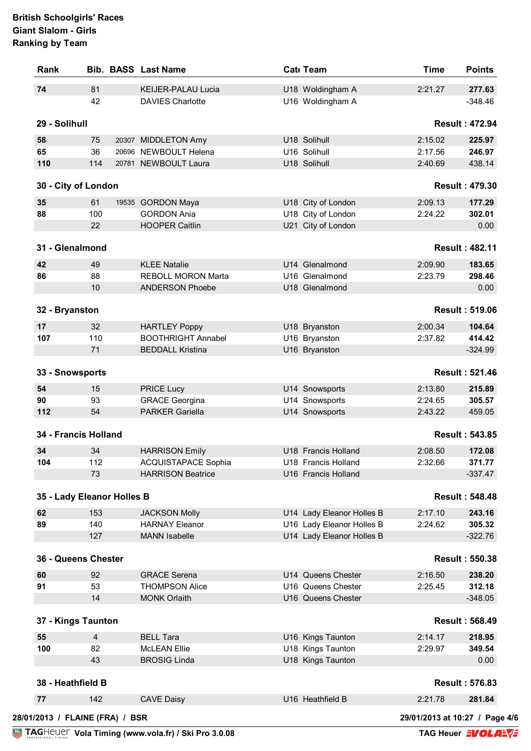| Rank                            |                                                     | <b>Bib. BASS Last Name</b>                    | Cat Team                                               | <b>Time</b>                    | <b>Points</b>         |
|---------------------------------|-----------------------------------------------------|-----------------------------------------------|--------------------------------------------------------|--------------------------------|-----------------------|
| 74                              | 81                                                  | <b>KEIJER-PALAU Lucia</b>                     | U18 Woldingham A                                       | 2:21.27                        | 277.63                |
|                                 | 42                                                  | <b>DAVIES Charlotte</b>                       | U16 Woldingham A                                       |                                | $-348.46$             |
| 29 - Solihull                   |                                                     |                                               |                                                        |                                | <b>Result: 472.94</b> |
| 58                              | 75                                                  | 20307 MIDDLETON Amy                           | U18 Solihull                                           | 2:15.02                        | 225.97                |
| 65                              | 36                                                  | 20696 NEWBOULT Helena                         | U16 Solihull                                           | 2:17.56                        | 246.97                |
| 110                             | 114                                                 | 20781 NEWBOULT Laura                          | U18 Solihull                                           | 2:40.69                        | 438.14                |
| 30 - City of London             |                                                     |                                               |                                                        |                                | <b>Result: 479.30</b> |
| 35                              | 61                                                  | 19535 GORDON Maya                             | U18 City of London                                     | 2:09.13                        | 177.29                |
| 88                              | 100                                                 | <b>GORDON Ania</b>                            | U18 City of London                                     | 2:24.22                        | 302.01                |
|                                 | 22                                                  | <b>HOOPER Caitlin</b>                         | U21 City of London                                     |                                | 0.00                  |
| 31 - Glenalmond                 |                                                     |                                               |                                                        |                                | <b>Result: 482.11</b> |
| 42                              | 49                                                  | <b>KLEE Natalie</b>                           | U14 Glenalmond                                         | 2:09.90                        | 183.65                |
| 86                              | 88                                                  | <b>REBOLL MORON Marta</b>                     | U16 Glenalmond                                         | 2:23.79                        | 298.46                |
|                                 | 10                                                  | <b>ANDERSON Phoebe</b>                        | U18 Glenalmond                                         |                                | 0.00                  |
| 32 - Bryanston                  |                                                     |                                               |                                                        |                                | <b>Result: 519.06</b> |
| 17                              | 32                                                  | <b>HARTLEY Poppy</b>                          | U18 Bryanston                                          | 2:00.34                        | 104.64                |
| 107                             | 110                                                 | <b>BOOTHRIGHT Annabel</b>                     | U16 Bryanston                                          | 2:37.82                        | 414.42                |
|                                 | 71                                                  | <b>BEDDALL Kristina</b>                       | U16 Bryanston                                          |                                | $-324.99$             |
| 33 - Snowsports                 |                                                     |                                               |                                                        |                                | <b>Result: 521.46</b> |
| 54                              | 15                                                  | <b>PRICE Lucy</b>                             | U14 Snowsports                                         | 2:13.80                        | 215.89                |
| 90                              | 93                                                  | <b>GRACE Georgina</b>                         | U14 Snowsports                                         | 2:24.65                        | 305.57                |
| 112                             | 54                                                  | <b>PARKER Gariella</b>                        | U14 Snowsports                                         | 2:43.22                        | 459.05                |
| 34 - Francis Holland            |                                                     |                                               |                                                        |                                | <b>Result: 543.85</b> |
| 34                              | 34                                                  | <b>HARRISON Emily</b>                         | U18 Francis Holland                                    | 2:08.50                        | 172.08                |
| 104                             | 112                                                 | <b>ACQUISTAPACE Sophia</b>                    | U18 Francis Holland                                    | 2:32.66                        | 371.77                |
|                                 | 73                                                  | <b>HARRISON Beatrice</b>                      | U16 Francis Holland                                    |                                | $-337.47$             |
| 35 - Lady Eleanor Holles B      |                                                     |                                               |                                                        |                                | <b>Result: 548.48</b> |
| 62                              | 153                                                 |                                               |                                                        | 2:17.10                        |                       |
| 89                              | 140                                                 | <b>JACKSON Molly</b><br><b>HARNAY Eleanor</b> | U14 Lady Eleanor Holles B<br>U16 Lady Eleanor Holles B | 2:24.62                        | 243.16<br>305.32      |
|                                 | 127                                                 | <b>MANN</b> Isabelle                          | U14 Lady Eleanor Holles B                              |                                | $-322.76$             |
|                                 |                                                     |                                               |                                                        |                                |                       |
| 36 - Queens Chester             |                                                     |                                               |                                                        |                                | <b>Result: 550.38</b> |
| 60                              | 92                                                  | <b>GRACE Serena</b>                           | U14 Queens Chester                                     | 2:16.50                        | 238.20                |
| 91                              | 53                                                  | <b>THOMPSON Alice</b>                         | U16 Queens Chester                                     | 2:25.45                        | 312.18                |
|                                 | 14                                                  | <b>MONK Orlaith</b>                           | U16 Queens Chester                                     |                                | $-348.05$             |
| 37 - Kings Taunton              |                                                     |                                               |                                                        |                                | <b>Result: 568.49</b> |
| 55                              | $\overline{4}$                                      | <b>BELL Tara</b>                              | U16 Kings Taunton                                      | 2:14.17                        | 218.95                |
| 100                             | 82                                                  | <b>McLEAN Ellie</b>                           | U18 Kings Taunton                                      | 2:29.97                        | 349.54                |
|                                 | 43                                                  | <b>BROSIG Linda</b>                           | U18 Kings Taunton                                      |                                | 0.00                  |
| 38 - Heathfield B               |                                                     |                                               |                                                        |                                | <b>Result: 576.83</b> |
| 77                              | 142                                                 | <b>CAVE Daisy</b>                             | U16 Heathfield B                                       | 2:21.78                        | 281.84                |
| 28/01/2013 / FLAINE (FRA) / BSR |                                                     |                                               |                                                        | 29/01/2013 at 10:27 / Page 4/6 |                       |
|                                 | TAGHEUEL Vola Timing (www.vola.fr) / Ski Pro 3.0.08 | TAG Heuer <b>EVOLAEVE</b>                     |                                                        |                                |                       |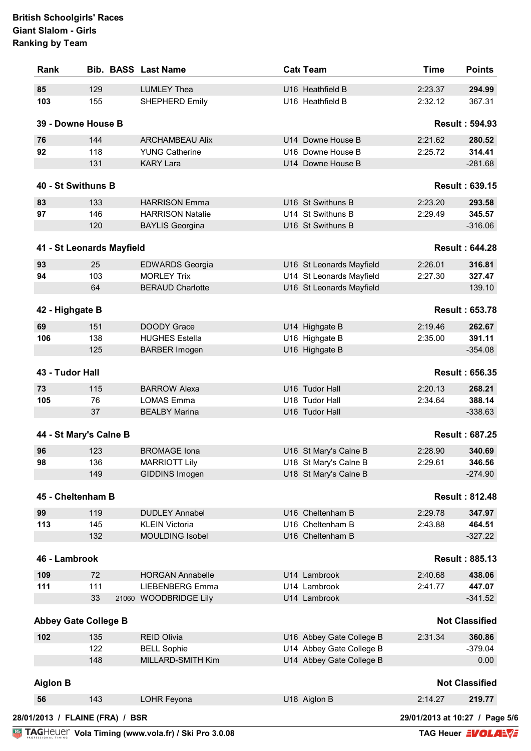|                                                                            |                             | <b>Bib. BASS Last Name</b>                      | Cat Team                                             | <b>Time</b> | <b>Points</b>         |
|----------------------------------------------------------------------------|-----------------------------|-------------------------------------------------|------------------------------------------------------|-------------|-----------------------|
| 85                                                                         | 129                         | <b>LUMLEY Thea</b>                              | U16 Heathfield B                                     | 2:23.37     | 294.99                |
| 103                                                                        | 155                         | SHEPHERD Emily                                  | U16 Heathfield B                                     | 2:32.12     | 367.31                |
|                                                                            | 39 - Downe House B          |                                                 |                                                      |             | <b>Result: 594.93</b> |
| 76                                                                         | 144                         | <b>ARCHAMBEAU Alix</b>                          | U14 Downe House B                                    | 2:21.62     | 280.52                |
| 92                                                                         | 118                         | <b>YUNG Catherine</b>                           | U16 Downe House B                                    | 2:25.72     | 314.41                |
|                                                                            | 131                         | <b>KARY Lara</b>                                | U14 Downe House B                                    |             | $-281.68$             |
| 40 - St Swithuns B                                                         |                             |                                                 |                                                      |             | <b>Result: 639.15</b> |
| 83                                                                         | 133                         | <b>HARRISON Emma</b>                            | U16 St Swithuns B                                    | 2:23.20     | 293.58                |
| 97                                                                         | 146                         | <b>HARRISON Natalie</b>                         | U14 St Swithuns B                                    | 2:29.49     | 345.57                |
|                                                                            | 120                         | <b>BAYLIS Georgina</b>                          | U16 St Swithuns B                                    |             | $-316.06$             |
|                                                                            | 41 - St Leonards Mayfield   |                                                 |                                                      |             | <b>Result: 644.28</b> |
|                                                                            |                             |                                                 |                                                      |             |                       |
| 93                                                                         | 25                          | <b>EDWARDS Georgia</b>                          | U16 St Leonards Mayfield                             | 2:26.01     | 316.81                |
| 94                                                                         | 103                         | <b>MORLEY Trix</b>                              | U14 St Leonards Mayfield                             | 2:27.30     | 327.47                |
|                                                                            | 64                          | <b>BERAUD Charlotte</b>                         | U16 St Leonards Mayfield                             |             | 139.10                |
| 42 - Highgate B                                                            |                             |                                                 |                                                      |             | <b>Result: 653.78</b> |
| 69                                                                         | 151                         | <b>DOODY Grace</b>                              | U14 Highgate B                                       | 2:19.46     | 262.67                |
| 106                                                                        | 138                         | <b>HUGHES Estella</b>                           | U16 Highgate B                                       | 2:35.00     | 391.11                |
|                                                                            | 125                         | <b>BARBER Imogen</b>                            | U16 Highgate B                                       |             | $-354.08$             |
| 43 - Tudor Hall                                                            |                             |                                                 |                                                      |             | <b>Result: 656.35</b> |
| 73                                                                         | 115                         | <b>BARROW Alexa</b>                             | U16 Tudor Hall                                       | 2:20.13     | 268.21                |
| 105                                                                        | 76                          | <b>LOMAS Emma</b>                               | U18 Tudor Hall                                       | 2:34.64     | 388.14                |
|                                                                            | 37                          | <b>BEALBY Marina</b>                            | U16 Tudor Hall                                       |             | $-338.63$             |
|                                                                            | 44 - St Mary's Calne B      |                                                 |                                                      |             | <b>Result: 687.25</b> |
| 96                                                                         | 123                         | <b>BROMAGE Iona</b>                             | U16 St Mary's Calne B                                | 2:28.90     | 340.69                |
|                                                                            |                             |                                                 |                                                      |             |                       |
|                                                                            |                             |                                                 |                                                      |             |                       |
|                                                                            | 136                         | <b>MARRIOTT Lily</b>                            | U18 St Mary's Calne B                                | 2:29.61     | 346.56                |
|                                                                            | 149                         | GIDDINS Imogen                                  | U18 St Mary's Calne B                                |             | $-274.90$             |
|                                                                            |                             |                                                 |                                                      |             | <b>Result: 812.48</b> |
|                                                                            | 119                         | <b>DUDLEY Annabel</b>                           | U16 Cheltenham B                                     | 2:29.78     | 347.97                |
|                                                                            | 145                         | <b>KLEIN Victoria</b>                           | U16 Cheltenham B                                     | 2:43.88     | 464.51                |
|                                                                            | 132                         | MOULDING Isobel                                 | U16 Cheltenham B                                     |             | $-327.22$             |
|                                                                            |                             |                                                 |                                                      |             | <b>Result: 885.13</b> |
|                                                                            |                             |                                                 |                                                      |             |                       |
|                                                                            | 72<br>111                   | <b>HORGAN Annabelle</b>                         | U14 Lambrook<br>U14 Lambrook                         | 2:40.68     | 438.06                |
|                                                                            | 33                          | <b>LIEBENBERG Emma</b><br>21060 WOODBRIDGE Lily | U14 Lambrook                                         | 2:41.77     | 447.07<br>$-341.52$   |
|                                                                            |                             |                                                 |                                                      |             |                       |
|                                                                            | <b>Abbey Gate College B</b> |                                                 |                                                      |             | <b>Not Classified</b> |
|                                                                            | 135                         | <b>REID Olivia</b>                              | U16 Abbey Gate College B                             | 2:31.34     | 360.86                |
| 98<br>45 - Cheltenham B<br>99<br>113<br>46 - Lambrook<br>109<br>111<br>102 | 122<br>148                  | <b>BELL Sophie</b><br>MILLARD-SMITH Kim         | U14 Abbey Gate College B<br>U14 Abbey Gate College B |             | $-379.04$<br>0.00     |
|                                                                            |                             |                                                 |                                                      |             |                       |
|                                                                            |                             |                                                 |                                                      |             | <b>Not Classified</b> |
| <b>Aiglon B</b><br>56                                                      | 143                         | LOHR Feyona                                     | U18 Aiglon B                                         | 2:14.27     | 219.77                |